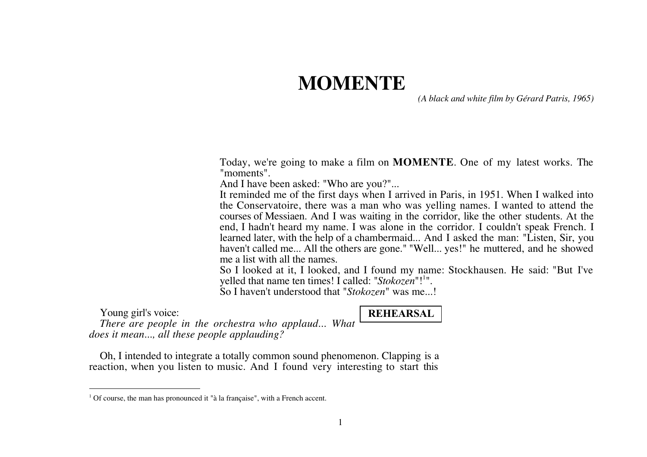# **MOMENTE**

*(A black and white film by Gérard Patris, 1965)*

Today, we're going to make a film on **MOMENTE**. One of my latest works. The "moments".

And I have been asked: "Who are you?"...

It reminded me of the first days when I arrived in Paris, in 1951. When I walked into the Conservatoire, there was a man who was yelling names. I wanted to attend the courses of Messiaen. And I was waiting in the corridor, like the other students. At the end, I hadn't heard my name. I was alone in the corridor. I couldn't speak French. I learned later, with the help of a chambermaid... And I asked the man: "Listen, Sir, you haven't called me... All the others are gone." "Well... yes!" he muttered, and he showed me a list with all the names.

So I looked at it, I looked, and I found my name: Stockhausen. He said: "But I've yelled that name ten times! I called: "*Stokozen*"!<sup>1</sup>".

So I haven't understood that "*Stokozen*" was me...!

Young girl's voice:

 $\overline{a}$ 

**REHEARSAL**

*There are people in the orchestra who applaud... What does it mean..., all these people applauding?*

Oh, I intended to integrate a totally common sound phenomenon. Clapping is a reaction, when you listen to music. And I found very interesting to start this

<sup>&</sup>lt;sup>1</sup> Of course, the man has pronounced it "à la française", with a French accent.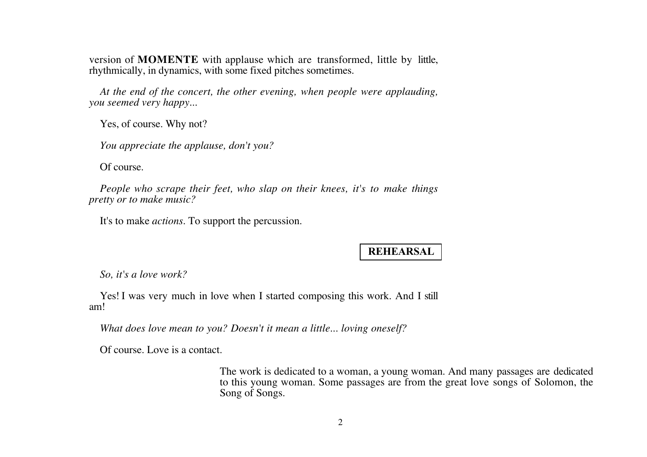version of **MOMENTE** with applause which are transformed, little by little, rhythmically, in dynamics, with some fixed pitches sometimes.

*At the end of the concert, the other evening, when people were applauding, you seemed very happy...*

Yes, of course. Why not?

*You appreciate the applause, don't you?*

Of course.

*People who scrape their feet, who slap on their knees, it's to make things pretty or to make music?*

It's to make *actions*. To support the percussion.

# **REHEARSAL**

*So, it's a love work?*

Yes! I was very much in love when I started composing this work. And I still am!

*What does love mean to you? Doesn't it mean a little... loving oneself?*

Of course. Love is a contact.

The work is dedicated to a woman, a young woman. And many passages are dedicated to this young woman. Some passages are from the great love songs of Solomon, the Song of Songs.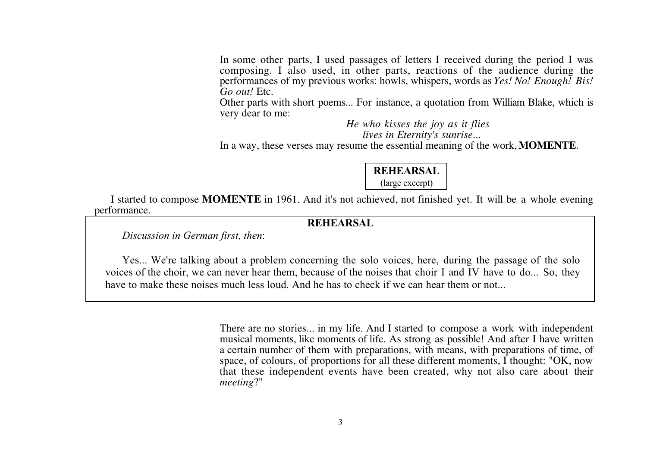In some other parts, I used passages of letters I received during the period I was composing. I also used, in other parts, reactions of the audience during the performances of my previous works: howls, whispers, words as *Yes! No! Enough! Bis! Go out!* Etc.

Other parts with short poems... For instance, a quotation from William Blake, which is very dear to me:

> *He who kisses the joy as it flies lives in Eternity's sunrise...*

In a way, these verses may resume the essential meaning of the work, **MOMENTE**.

| <b>REHEARSAL</b> |  |
|------------------|--|
| (large excerpt)  |  |

I started to compose **MOMENTE** in 1961. And it's not achieved, not finished yet. It will be a whole evening performance.

#### **REHEARSAL**

*Discussion in German first, then*:

Yes... We're talking about a problem concerning the solo voices, here, during the passage of the solo voices of the choir, we can never hear them, because of the noises that choir I and IV have to do... So, they have to make these noises much less loud. And he has to check if we can hear them or not...

> There are no stories... in my life. And I started to compose a work with independent musical moments, like moments of life. As strong as possible! And after I have written a certain number of them with preparations, with means, with preparations of time, of space, of colours, of proportions for all these different moments, I thought: "OK, now that these independent events have been created, why not also care about their *meeting*?"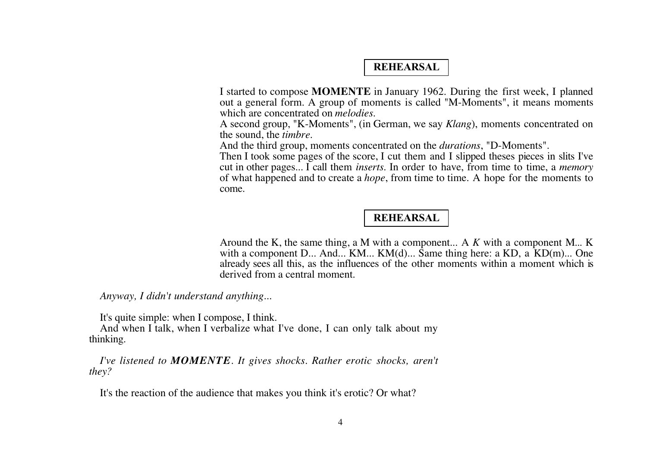## **REHEARSAL**

I started to compose **MOMENTE** in January 1962. During the first week, I planned out a general form. A group of moments is called "M-Moments", it means moments which are concentrated on *melodies*.

A second group, "K-Moments", (in German, we say *Klang*), moments concentrated on the sound, the *timbre*.

And the third group, moments concentrated on the *durations*, "D-Moments".

Then I took some pages of the score, I cut them and I slipped theses pieces in slits I've cut in other pages... I call them *inserts*. In order to have, from time to time, a *memory* of what happened and to create a *hope*, from time to time. A hope for the moments to come.

## **REHEARSAL**

Around the K, the same thing, a M with a component... A *K* with a component M... K with a component D... And... KM... KM(d)... Same thing here: a KD, a KD(m)... One already sees all this, as the influences of the other moments within a moment which is derived from a central moment.

*Anyway, I didn't understand anything...*

It's quite simple: when I compose, I think.

And when I talk, when I verbalize what I've done, I can only talk about my thinking.

*I've listened to MOMENTE. It gives shocks. Rather erotic shocks, aren't they?*

It's the reaction of the audience that makes you think it's erotic? Or what?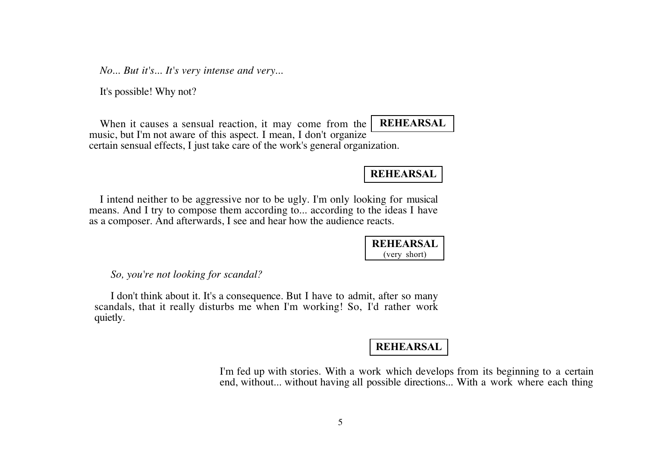*No... But it's... It's very intense and very...*

It's possible! Why not?

When it causes a sensual reaction, it may come from the music, but I'm not aware of this aspect. I mean, I don't organize certain sensual effects, I just take care of the work's general organization. **REHEARSAL**

**REHEARSAL**

I intend neither to be aggressive nor to be ugly. I'm only looking for musical means. And I try to compose them according to... according to the ideas I have as a composer. And afterwards, I see and hear how the audience reacts.

> **REHEARSAL** (very short)

*So, you're not looking for scandal?*

I don't think about it. It's a consequence. But I have to admit, after so many scandals, that it really disturbs me when I'm working! So, I'd rather work quietly.

#### **REHEARSAL**

I'm fed up with stories. With a work which develops from its beginning to a certain end, without... without having all possible directions... With a work where each thing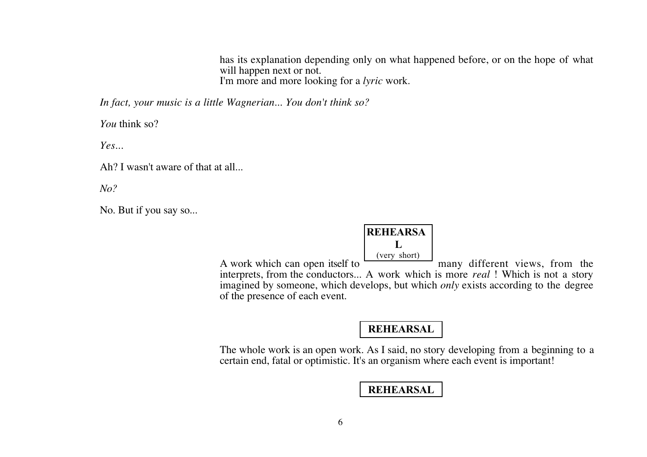has its explanation depending only on what happened before, or on the hope of what will happen next or not. I'm more and more looking for a *lyric* work.

*In fact, your music is a little Wagnerian... You don't think so?*

*You* think so?

*Yes...*

Ah? I wasn't aware of that at all...

*No?*

No. But if you say so...

#### **REHEARSA L** (very short)

A work which can open itself to  $\frac{1}{\sqrt{1-\frac{1}{\sqrt{1-\frac{1}{\sqrt{1-\frac{1}{\sqrt{1-\frac{1}{\sqrt{1-\frac{1}{\sqrt{1-\frac{1}{\sqrt{1-\frac{1}{\sqrt{1-\frac{1}{\sqrt{1-\frac{1}{\sqrt{1-\frac{1}{\sqrt{1-\frac{1}{\sqrt{1-\frac{1}{\sqrt{1-\frac{1}{\sqrt{1-\frac{1}{\sqrt{1-\frac{1}{\sqrt{1-\frac{1}{\sqrt{1-\frac{1}{\sqrt{1-\frac{1}{\sqrt{1-\frac{1}{\sqrt{1-\frac{1}{\sqrt{$ interprets, from the conductors... A work which is more *real* ! Which is not a story imagined by someone, which develops, but which *only* exists according to the degree of the presence of each event.

#### **REHEARSAL**

The whole work is an open work. As I said, no story developing from a beginning to a certain end, fatal or optimistic. It's an organism where each event is important!

### **REHEARSAL**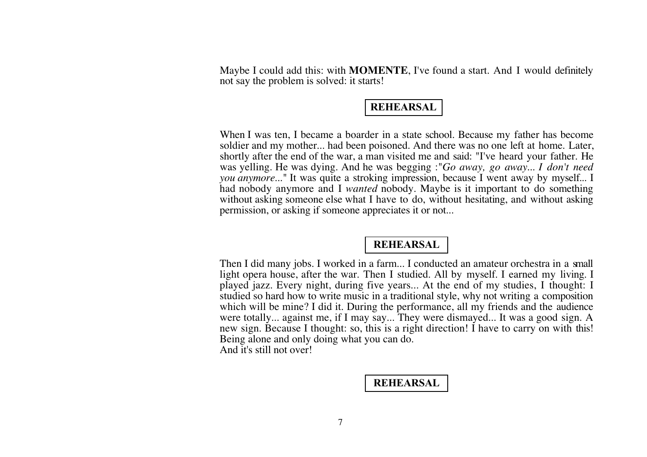Maybe I could add this: with **MOMENTE**, I've found a start. And I would definitely not say the problem is solved: it starts!

## **REHEARSAL**

When I was ten, I became a boarder in a state school. Because my father has become soldier and my mother... had been poisoned. And there was no one left at home. Later, shortly after the end of the war, a man visited me and said: "I've heard your father. He was yelling. He was dying. And he was begging :"*Go away, go away*... *I don't need you anymore*..." It was quite a stroking impression, because I went away by myself... I had nobody anymore and I *wanted* nobody. Maybe is it important to do something without asking someone else what I have to do, without hesitating, and without asking permission, or asking if someone appreciates it or not...

# **REHEARSAL**

Then I did many jobs. I worked in a farm... I conducted an amateur orchestra in a small light opera house, after the war. Then I studied. All by myself. I earned my living. I played jazz. Every night, during five years... At the end of my studies, I thought: I studied so hard how to write music in a traditional style, why not writing a composition which will be mine? I did it. During the performance, all my friends and the audience were totally... against me, if I may say... They were dismayed... It was a good sign. A new sign. Because I thought: so, this is a right direction! I have to carry on with this! Being alone and only doing what you can do. And it's still not over!

## **REHEARSAL**